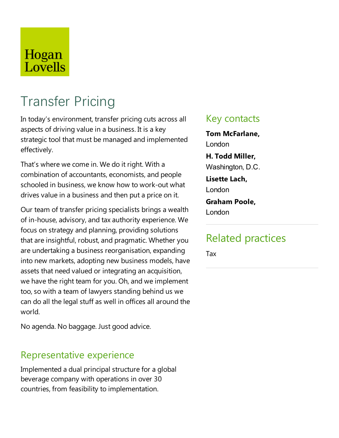# Hogan Lovells

# Transfer Pricing

In today's environment, transfer pricing cuts across all aspects of driving value in a business. It is a key strategic tool that must be managed and implemented effectively.

That's where we come in. We do it right. With a combination of accountants, economists, and people schooled in business, we know how to work-out what drives value in a business and then put a price on it.

Our team of transfer pricing specialists brings a wealth of in-house, advisory, and tax authority experience. We focus on strategy and planning, providing solutions that are insightful, robust, and pragmatic. Whether you are undertaking a business reorganisation,expanding into new markets, adopting new business models, have assets that need valued or integrating an acquisition, we have the right team for you. Oh, and we implement too, so with a team of lawyers standing behind us we can do all the legal stuff as well in offices all around the world.

No agenda. No baggage. Just good advice.

### Representative experience

Implemented a dual principal structure for a global beverage company with operations in over 30 countries, from feasibility to implementation.

### Key contacts

**Tom McFarlane,** London

**H. Todd Miller,** Washington, D.C.

**Lisette Lach,** London

#### **Graham Poole,** London

### Related practices

Tax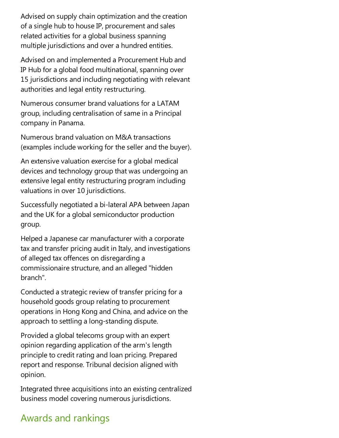Advised on supply chain optimization and the creation of a single hub to house IP, procurement and sales related activities for a global business spanning multiple jurisdictions and over a hundred entities.

Advised on and implemented a Procurement Hub and IP Hub for a global food multinational, spanning over 15 jurisdictions and including negotiating with relevant authorities and legal entity restructuring.

Numerous consumer brand valuations for a LATAM group, including centralisation of samein a Principal company in Panama.

Numerous brand valuation on M&A transactions (examples include working for the seller and the buyer).

An extensive valuation exercise for a global medical devices and technology group that was undergoing an extensive legal entity restructuring program including valuations in over 10 jurisdictions.

Successfully negotiated a bi-lateral APA between Japan and the UK for a global semiconductor production group.

Helped a Japanese car manufacturer with a corporate tax and transfer pricing audit in Italy, and investigations ofalleged tax offences on disregarding a commissionaire structure, and an alleged "hidden branch".

Conducted a strategic review of transfer pricing for a household goods group relating to procurement operations in Hong Kong and China, and advice on the approach to settling a long-standing dispute.

Provided a global telecoms group with an expert opinion regarding application of thearm's length principle to credit rating and loan pricing. Prepared report and response. Tribunal decision aligned with opinion.

Integrated three acquisitions into an existing centralized business model covering numerous jurisdictions.

## Awards and rankings